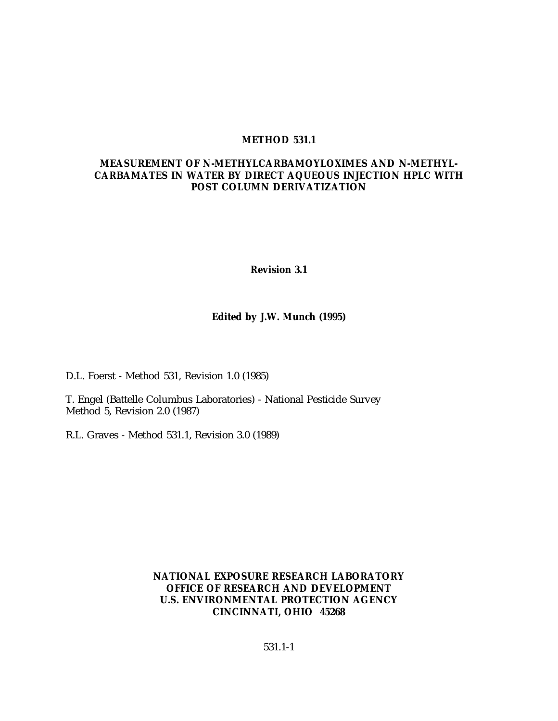#### **METHOD 531.1**

### **MEASUREMENT OF N-METHYLCARBAMOYLOXIMES AND N-METHYL-CARBAMATES IN WATER BY DIRECT AQUEOUS INJECTION HPLC WITH POST COLUMN DERIVATIZATION**

**Revision 3.1**

### **Edited by J.W. Munch (1995)**

D.L. Foerst - Method 531, Revision 1.0 (1985)

T. Engel (Battelle Columbus Laboratories) - National Pesticide Survey Method 5, Revision 2.0 (1987)

R.L. Graves - Method 531.1, Revision 3.0 (1989)

**NATIONAL EXPOSURE RESEARCH LABORATORY OFFICE OF RESEARCH AND DEVELOPMENT U.S. ENVIRONMENTAL PROTECTION AGENCY CINCINNATI, OHIO 45268**

531.1-1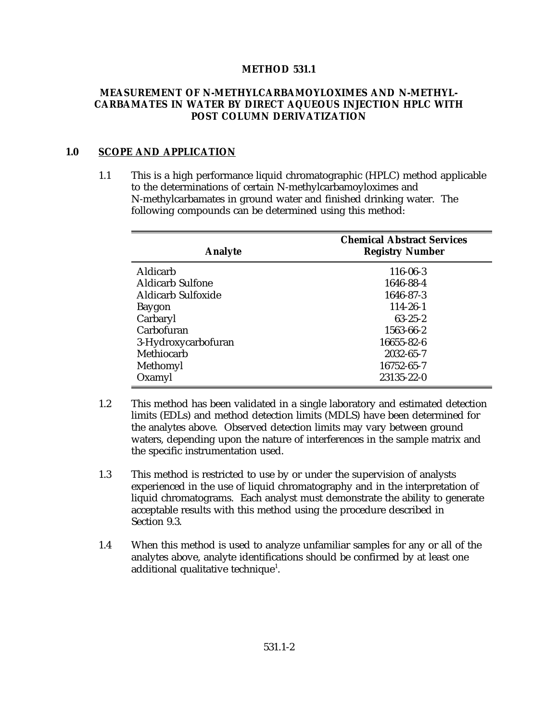### **METHOD 531.1**

### **MEASUREMENT OF N-METHYLCARBAMOYLOXIMES AND N-METHYL-CARBAMATES IN WATER BY DIRECT AQUEOUS INJECTION HPLC WITH POST COLUMN DERIVATIZATION**

#### **1.0 SCOPE AND APPLICATION**

1.1 This is a high performance liquid chromatographic (HPLC) method applicable to the determinations of certain N-methylcarbamoyloximes and N-methylcarbamates in ground water and finished drinking water. The following compounds can be determined using this method:

| <b>Analyte</b>            | <b>Chemical Abstract Services</b><br><b>Registry Number</b> |  |  |
|---------------------------|-------------------------------------------------------------|--|--|
| Aldicarb                  | 116-06-3                                                    |  |  |
| <b>Aldicarb Sulfone</b>   | 1646-88-4                                                   |  |  |
| <b>Aldicarb Sulfoxide</b> | 1646-87-3                                                   |  |  |
| Baygon                    | $114 - 26 - 1$                                              |  |  |
| Carbaryl                  | $63 - 25 - 2$                                               |  |  |
| Carbofuran                | 1563-66-2                                                   |  |  |
| 3-Hydroxycarbofuran       | 16655-82-6                                                  |  |  |
| Methiocarb                | 2032-65-7                                                   |  |  |
| Methomyl                  | 16752-65-7                                                  |  |  |
| Oxamyl                    | 23135-22-0                                                  |  |  |

- 1.2 This method has been validated in a single laboratory and estimated detection limits (EDLs) and method detection limits (MDLS) have been determined for the analytes above. Observed detection limits may vary between ground waters, depending upon the nature of interferences in the sample matrix and the specific instrumentation used.
- 1.3 This method is restricted to use by or under the supervision of analysts experienced in the use of liquid chromatography and in the interpretation of liquid chromatograms. Each analyst must demonstrate the ability to generate acceptable results with this method using the procedure described in Section 9.3.
- 1.4 When this method is used to analyze unfamiliar samples for any or all of the analytes above, analyte identifications should be confirmed by at least one additional qualitative technique<sup>1</sup>.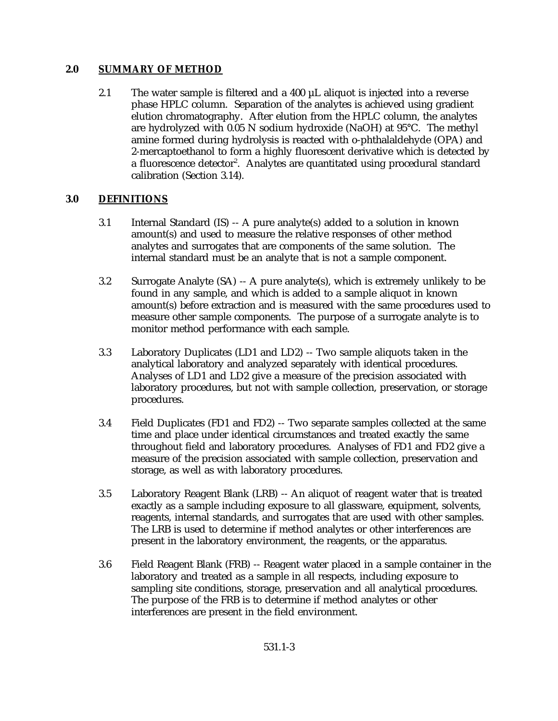### **2.0 SUMMARY OF METHOD**

2.1 The water sample is filtered and a 400 µL aliquot is injected into a reverse phase HPLC column. Separation of the analytes is achieved using gradient elution chromatography. After elution from the HPLC column, the analytes are hydrolyzed with 0.05 N sodium hydroxide (NaOH) at 95°C. The methyl amine formed during hydrolysis is reacted with o-phthalaldehyde (OPA) and 2-mercaptoethanol to form a highly fluorescent derivative which is detected by a fluorescence detector<sup>2</sup>. Analytes are quantitated using procedural standard calibration (Section 3.14).

### **3.0 DEFINITIONS**

- 3.1 Internal Standard (IS) -- A pure analyte(s) added to a solution in known amount(s) and used to measure the relative responses of other method analytes and surrogates that are components of the same solution. The internal standard must be an analyte that is not a sample component.
- 3.2 Surrogate Analyte (SA) -- A pure analyte(s), which is extremely unlikely to be found in any sample, and which is added to a sample aliquot in known amount(s) before extraction and is measured with the same procedures used to measure other sample components. The purpose of a surrogate analyte is to monitor method performance with each sample.
- 3.3 Laboratory Duplicates (LD1 and LD2) -- Two sample aliquots taken in the analytical laboratory and analyzed separately with identical procedures. Analyses of LD1 and LD2 give a measure of the precision associated with laboratory procedures, but not with sample collection, preservation, or storage procedures.
- 3.4 Field Duplicates (FD1 and FD2) -- Two separate samples collected at the same time and place under identical circumstances and treated exactly the same throughout field and laboratory procedures. Analyses of FD1 and FD2 give a measure of the precision associated with sample collection, preservation and storage, as well as with laboratory procedures.
- 3.5 Laboratory Reagent Blank (LRB) -- An aliquot of reagent water that is treated exactly as a sample including exposure to all glassware, equipment, solvents, reagents, internal standards, and surrogates that are used with other samples. The LRB is used to determine if method analytes or other interferences are present in the laboratory environment, the reagents, or the apparatus.
- 3.6 Field Reagent Blank (FRB) -- Reagent water placed in a sample container in the laboratory and treated as a sample in all respects, including exposure to sampling site conditions, storage, preservation and all analytical procedures. The purpose of the FRB is to determine if method analytes or other interferences are present in the field environment.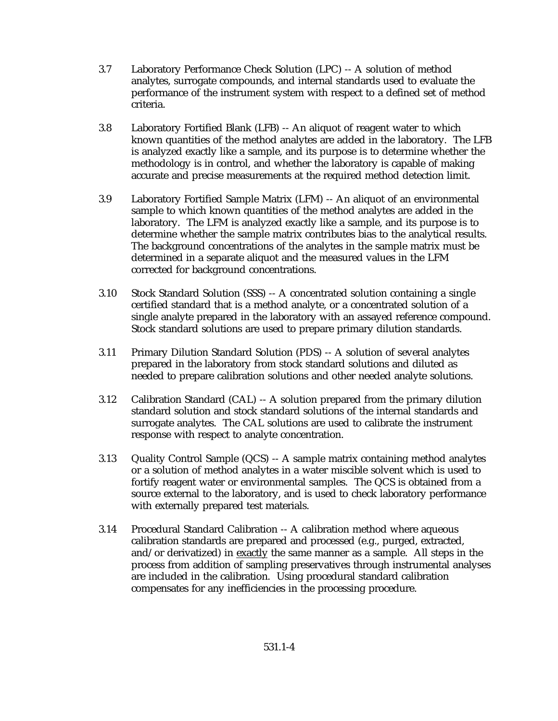- 3.7 Laboratory Performance Check Solution (LPC) -- A solution of method analytes, surrogate compounds, and internal standards used to evaluate the performance of the instrument system with respect to a defined set of method criteria.
- 3.8 Laboratory Fortified Blank (LFB) -- An aliquot of reagent water to which known quantities of the method analytes are added in the laboratory. The LFB is analyzed exactly like a sample, and its purpose is to determine whether the methodology is in control, and whether the laboratory is capable of making accurate and precise measurements at the required method detection limit.
- 3.9 Laboratory Fortified Sample Matrix (LFM) -- An aliquot of an environmental sample to which known quantities of the method analytes are added in the laboratory. The LFM is analyzed exactly like a sample, and its purpose is to determine whether the sample matrix contributes bias to the analytical results. The background concentrations of the analytes in the sample matrix must be determined in a separate aliquot and the measured values in the LFM corrected for background concentrations.
- 3.10 Stock Standard Solution (SSS) -- A concentrated solution containing a single certified standard that is a method analyte, or a concentrated solution of a single analyte prepared in the laboratory with an assayed reference compound. Stock standard solutions are used to prepare primary dilution standards.
- 3.11 Primary Dilution Standard Solution (PDS) -- A solution of several analytes prepared in the laboratory from stock standard solutions and diluted as needed to prepare calibration solutions and other needed analyte solutions.
- 3.12 Calibration Standard (CAL) -- A solution prepared from the primary dilution standard solution and stock standard solutions of the internal standards and surrogate analytes. The CAL solutions are used to calibrate the instrument response with respect to analyte concentration.
- 3.13 Quality Control Sample (QCS) -- A sample matrix containing method analytes or a solution of method analytes in a water miscible solvent which is used to fortify reagent water or environmental samples. The QCS is obtained from a source external to the laboratory, and is used to check laboratory performance with externally prepared test materials.
- 3.14 Procedural Standard Calibration -- A calibration method where aqueous calibration standards are prepared and processed (e.g., purged, extracted, and/or derivatized) in exactly the same manner as a sample. All steps in the process from addition of sampling preservatives through instrumental analyses are included in the calibration. Using procedural standard calibration compensates for any inefficiencies in the processing procedure.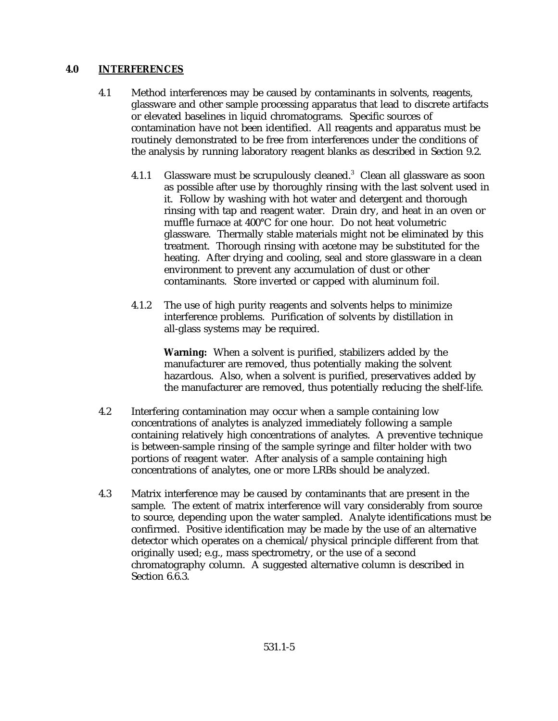### **4.0 INTERFERENCES**

- 4.1 Method interferences may be caused by contaminants in solvents, reagents, glassware and other sample processing apparatus that lead to discrete artifacts or elevated baselines in liquid chromatograms. Specific sources of contamination have not been identified. All reagents and apparatus must be routinely demonstrated to be free from interferences under the conditions of the analysis by running laboratory reagent blanks as described in Section 9.2.
	- 4.1.1 Glassware must be scrupulously cleaned.<sup>3</sup> Clean all glassware as soon as possible after use by thoroughly rinsing with the last solvent used in it. Follow by washing with hot water and detergent and thorough rinsing with tap and reagent water. Drain dry, and heat in an oven or muffle furnace at 400°C for one hour. Do not heat volumetric glassware. Thermally stable materials might not be eliminated by this treatment. Thorough rinsing with acetone may be substituted for the heating. After drying and cooling, seal and store glassware in a clean environment to prevent any accumulation of dust or other contaminants. Store inverted or capped with aluminum foil.
	- 4.1.2 The use of high purity reagents and solvents helps to minimize interference problems. Purification of solvents by distillation in all-glass systems may be required.

**Warning:** When a solvent is purified, stabilizers added by the manufacturer are removed, thus potentially making the solvent hazardous. Also, when a solvent is purified, preservatives added by the manufacturer are removed, thus potentially reducing the shelf-life.

- 4.2 Interfering contamination may occur when a sample containing low concentrations of analytes is analyzed immediately following a sample containing relatively high concentrations of analytes. A preventive technique is between-sample rinsing of the sample syringe and filter holder with two portions of reagent water. After analysis of a sample containing high concentrations of analytes, one or more LRBs should be analyzed.
- 4.3 Matrix interference may be caused by contaminants that are present in the sample. The extent of matrix interference will vary considerably from source to source, depending upon the water sampled. Analyte identifications must be confirmed. Positive identification may be made by the use of an alternative detector which operates on a chemical/physical principle different from that originally used; e.g., mass spectrometry, or the use of a second chromatography column. A suggested alternative column is described in Section 6.6.3.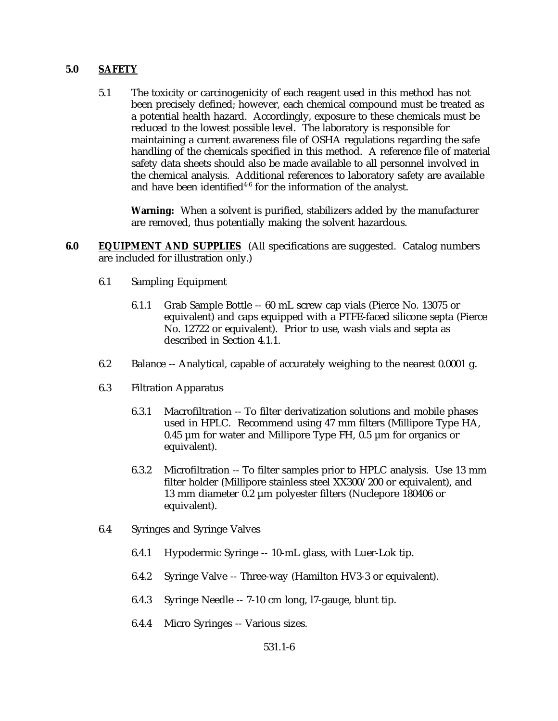### **5.0 SAFETY**

5.1 The toxicity or carcinogenicity of each reagent used in this method has not been precisely defined; however, each chemical compound must be treated as a potential health hazard. Accordingly, exposure to these chemicals must be reduced to the lowest possible level. The laboratory is responsible for maintaining a current awareness file of OSHA regulations regarding the safe handling of the chemicals specified in this method. A reference file of material safety data sheets should also be made available to all personnel involved in the chemical analysis. Additional references to laboratory safety are available and have been identified<sup> $4-6$ </sup> for the information of the analyst.

**Warning:** When a solvent is purified, stabilizers added by the manufacturer are removed, thus potentially making the solvent hazardous.

- **6.0 EQUIPMENT AND SUPPLIES** (All specifications are suggested. Catalog numbers are included for illustration only.)
	- 6.1 Sampling Equipment
		- 6.1.1 Grab Sample Bottle -- 60 mL screw cap vials (Pierce No. 13075 or equivalent) and caps equipped with a PTFE-faced silicone septa (Pierce No. 12722 or equivalent). Prior to use, wash vials and septa as described in Section 4.1.1.
	- 6.2 Balance -- Analytical, capable of accurately weighing to the nearest 0.0001 g.
	- 6.3 Filtration Apparatus
		- 6.3.1 Macrofiltration -- To filter derivatization solutions and mobile phases used in HPLC. Recommend using 47 mm filters (Millipore Type HA, 0.45  $\mu$ m for water and Millipore Type FH, 0.5  $\mu$ m for organics or equivalent).
		- 6.3.2 Microfiltration -- To filter samples prior to HPLC analysis. Use 13 mm filter holder (Millipore stainless steel XX300/200 or equivalent), and 13 mm diameter 0.2 µm polyester filters (Nuclepore 180406 or equivalent).
	- 6.4 Syringes and Syringe Valves
		- 6.4.1 Hypodermic Syringe -- 10-mL glass, with Luer-Lok tip.
		- 6.4.2 Syringe Valve -- Three-way (Hamilton HV3-3 or equivalent).
		- 6.4.3 Syringe Needle -- 7-10 cm long, l7-gauge, blunt tip.
		- 6.4.4 Micro Syringes -- Various sizes.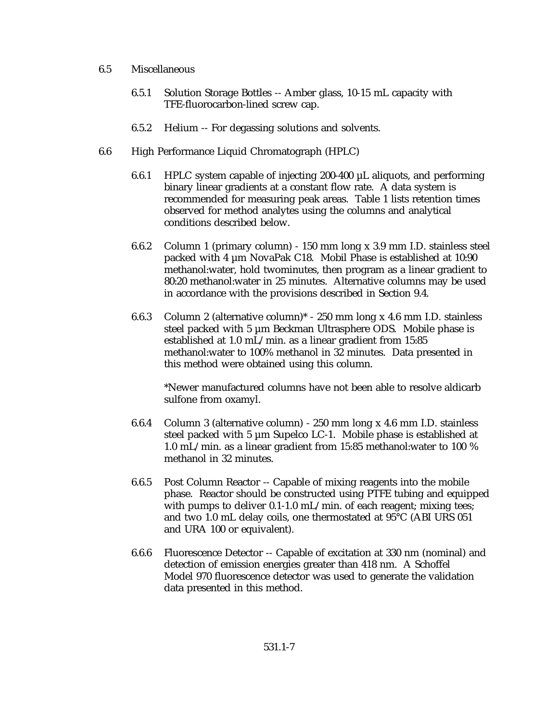#### 6.5 Miscellaneous

- 6.5.1 Solution Storage Bottles -- Amber glass, 10-15 mL capacity with TFE-fluorocarbon-lined screw cap.
- 6.5.2 Helium -- For degassing solutions and solvents.
- 6.6 High Performance Liquid Chromatograph (HPLC)
	- 6.6.1 HPLC system capable of injecting 200-400  $\mu$ L aliquots, and performing binary linear gradients at a constant flow rate. A data system is recommended for measuring peak areas. Table 1 lists retention times observed for method analytes using the columns and analytical conditions described below.
	- 6.6.2 Column 1 (primary column) 150 mm long x 3.9 mm I.D. stainless steel packed with 4 µm NovaPak C18. Mobil Phase is established at 10:90 methanol:water, hold twominutes, then program as a linear gradient to 80:20 methanol:water in 25 minutes. Alternative columns may be used in accordance with the provisions described in Section 9.4.
	- 6.6.3 Column 2 (alternative column)\* 250 mm long x 4.6 mm I.D. stainless steel packed with 5 µm Beckman Ultrasphere ODS. Mobile phase is established at 1.0 mL/min. as a linear gradient from 15:85 methanol:water to 100% methanol in 32 minutes. Data presented in this method were obtained using this column.

\*Newer manufactured columns have not been able to resolve aldicarb sulfone from oxamyl.

- 6.6.4 Column 3 (alternative column) 250 mm long x 4.6 mm I.D. stainless steel packed with 5 µm Supelco LC-1. Mobile phase is established at 1.0 mL/min. as a linear gradient from 15:85 methanol:water to 100 % methanol in 32 minutes.
- 6.6.5 Post Column Reactor -- Capable of mixing reagents into the mobile phase. Reactor should be constructed using PTFE tubing and equipped with pumps to deliver 0.1-1.0 mL/min. of each reagent; mixing tees; and two 1.0 mL delay coils, one thermostated at 95°C (ABI URS 051 and URA 100 or equivalent).
- 6.6.6 Fluorescence Detector -- Capable of excitation at 330 nm (nominal) and detection of emission energies greater than 418 nm. A Schoffel Model 970 fluorescence detector was used to generate the validation data presented in this method.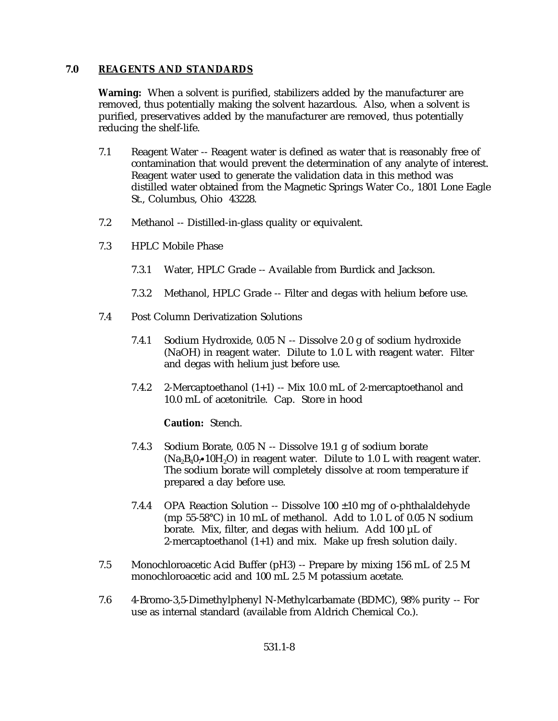### **7.0 REAGENTS AND STANDARDS**

**Warning:** When a solvent is purified, stabilizers added by the manufacturer are removed, thus potentially making the solvent hazardous. Also, when a solvent is purified, preservatives added by the manufacturer are removed, thus potentially reducing the shelf-life.

- 7.1 Reagent Water -- Reagent water is defined as water that is reasonably free of contamination that would prevent the determination of any analyte of interest. Reagent water used to generate the validation data in this method was distilled water obtained from the Magnetic Springs Water Co., 1801 Lone Eagle St., Columbus, Ohio 43228.
- 7.2 Methanol -- Distilled-in-glass quality or equivalent.
- 7.3 HPLC Mobile Phase
	- 7.3.1 Water, HPLC Grade -- Available from Burdick and Jackson.
	- 7.3.2 Methanol, HPLC Grade -- Filter and degas with helium before use.
- 7.4 Post Column Derivatization Solutions
	- 7.4.1 Sodium Hydroxide, 0.05 N -- Dissolve 2.0 g of sodium hydroxide (NaOH) in reagent water. Dilute to 1.0 L with reagent water. Filter and degas with helium just before use.
	- 7.4.2 2-Mercaptoethanol  $(1+1)$  -- Mix 10.0 mL of 2-mercaptoethanol and 10.0 mL of acetonitrile. Cap. Store in hood

**Caution:** Stench.

- 7.4.3 Sodium Borate, 0.05 N -- Dissolve 19.1 g of sodium borate  $(Na<sub>2</sub>B<sub>4</sub>0<sub>7</sub> \cdot 10H<sub>2</sub>O)$  in reagent water. Dilute to 1.0 L with reagent water. The sodium borate will completely dissolve at room temperature if prepared a day before use.
- 7.4.4 OPA Reaction Solution -- Dissolve 100 ±10 mg of o-phthalaldehyde (mp 55-58°C) in 10 mL of methanol. Add to 1.0 L of 0.05 N sodium borate. Mix, filter, and degas with helium. Add 100 µL of 2-mercaptoethanol (1+1) and mix. Make up fresh solution daily.
- 7.5 Monochloroacetic Acid Buffer (pH3) -- Prepare by mixing 156 mL of 2.5 M monochloroacetic acid and 100 mL 2.5 M potassium acetate.
- 7.6 4-Bromo-3,5-Dimethylphenyl N-Methylcarbamate (BDMC), 98% purity -- For use as internal standard (available from Aldrich Chemical Co.).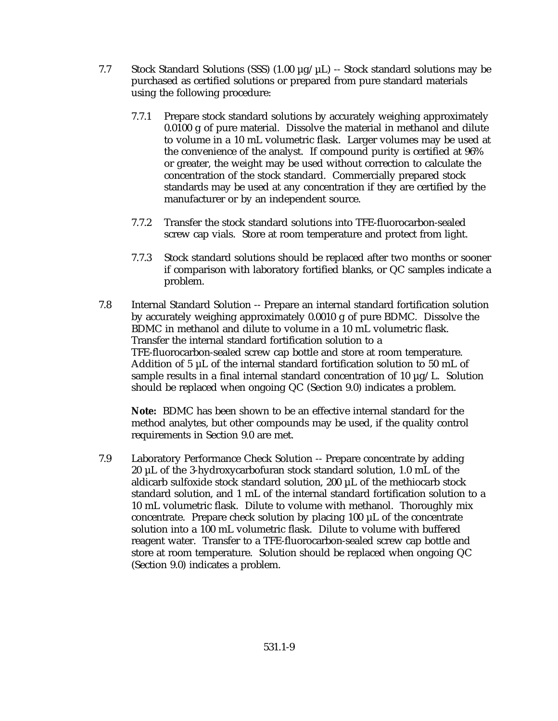- 7.7 Stock Standard Solutions (SSS)  $(1.00 \mu g/\mu L)$  -- Stock standard solutions may be purchased as certified solutions or prepared from pure standard materials using the following procedure:
	- 7.7.1 Prepare stock standard solutions by accurately weighing approximately 0.0100 g of pure material. Dissolve the material in methanol and dilute to volume in a 10 mL volumetric flask. Larger volumes may be used at the convenience of the analyst. If compound purity is certified at 96% or greater, the weight may be used without correction to calculate the concentration of the stock standard. Commercially prepared stock standards may be used at any concentration if they are certified by the manufacturer or by an independent source.
	- 7.7.2 Transfer the stock standard solutions into TFE-fluorocarbon-sealed screw cap vials. Store at room temperature and protect from light.
	- 7.7.3 Stock standard solutions should be replaced after two months or sooner if comparison with laboratory fortified blanks, or QC samples indicate a problem.
- 7.8 Internal Standard Solution -- Prepare an internal standard fortification solution by accurately weighing approximately 0.0010 g of pure BDMC. Dissolve the BDMC in methanol and dilute to volume in a 10 mL volumetric flask. Transfer the internal standard fortification solution to a TFE-fluorocarbon-sealed screw cap bottle and store at room temperature. Addition of 5 µL of the internal standard fortification solution to 50 mL of sample results in a final internal standard concentration of 10  $\mu$ g/L. Solution should be replaced when ongoing QC (Section 9.0) indicates a problem.

**Note:** BDMC has been shown to be an effective internal standard for the method analytes, but other compounds may be used, if the quality control requirements in Section 9.0 are met.

7.9 Laboratory Performance Check Solution -- Prepare concentrate by adding 20 µL of the 3-hydroxycarbofuran stock standard solution, 1.0 mL of the aldicarb sulfoxide stock standard solution, 200 µL of the methiocarb stock standard solution, and 1 mL of the internal standard fortification solution to a 10 mL volumetric flask. Dilute to volume with methanol. Thoroughly mix concentrate. Prepare check solution by placing 100 µL of the concentrate solution into a 100 mL volumetric flask. Dilute to volume with buffered reagent water. Transfer to a TFE-fluorocarbon-sealed screw cap bottle and store at room temperature. Solution should be replaced when ongoing QC (Section 9.0) indicates a problem.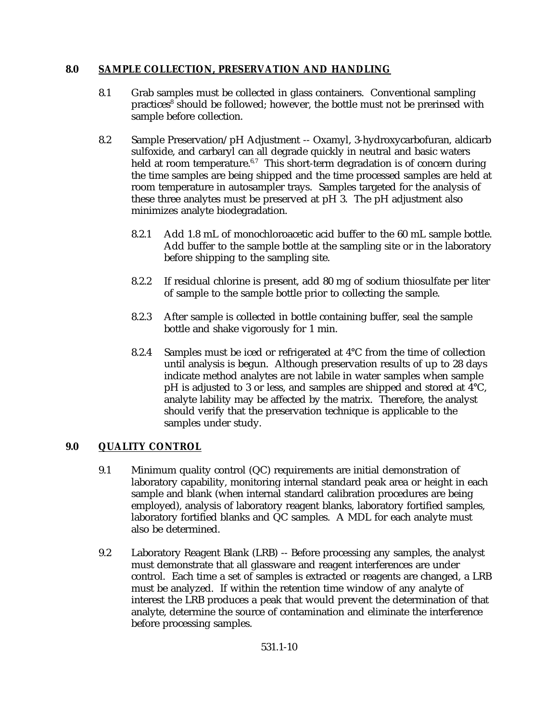## **8.0 SAMPLE COLLECTION, PRESERVATION AND HANDLING**

- 8.1 Grab samples must be collected in glass containers. Conventional sampling practices<sup>8</sup> should be followed; however, the bottle must not be prerinsed with sample before collection.
- 8.2 Sample Preservation/pH Adjustment -- Oxamyl, 3-hydroxycarbofuran, aldicarb sulfoxide, and carbaryl can all degrade quickly in neutral and basic waters held at room temperature.<sup>6,7</sup> This short-term degradation is of concern during the time samples are being shipped and the time processed samples are held at room temperature in autosampler trays. Samples targeted for the analysis of these three analytes must be preserved at pH 3. The pH adjustment also minimizes analyte biodegradation.
	- 8.2.1 Add 1.8 mL of monochloroacetic acid buffer to the 60 mL sample bottle. Add buffer to the sample bottle at the sampling site or in the laboratory before shipping to the sampling site.
	- 8.2.2 If residual chlorine is present, add 80 mg of sodium thiosulfate per liter of sample to the sample bottle prior to collecting the sample.
	- 8.2.3 After sample is collected in bottle containing buffer, seal the sample bottle and shake vigorously for 1 min.
	- 8.2.4 Samples must be iced or refrigerated at 4°C from the time of collection until analysis is begun. Although preservation results of up to 28 days indicate method analytes are not labile in water samples when sample pH is adjusted to 3 or less, and samples are shipped and stored at 4°C, analyte lability may be affected by the matrix. Therefore, the analyst should verify that the preservation technique is applicable to the samples under study.

# **9.0 QUALITY CONTROL**

- 9.1 Minimum quality control (QC) requirements are initial demonstration of laboratory capability, monitoring internal standard peak area or height in each sample and blank (when internal standard calibration procedures are being employed), analysis of laboratory reagent blanks, laboratory fortified samples, laboratory fortified blanks and QC samples. A MDL for each analyte must also be determined.
- 9.2 Laboratory Reagent Blank (LRB) -- Before processing any samples, the analyst must demonstrate that all glassware and reagent interferences are under control. Each time a set of samples is extracted or reagents are changed, a LRB must be analyzed. If within the retention time window of any analyte of interest the LRB produces a peak that would prevent the determination of that analyte, determine the source of contamination and eliminate the interference before processing samples.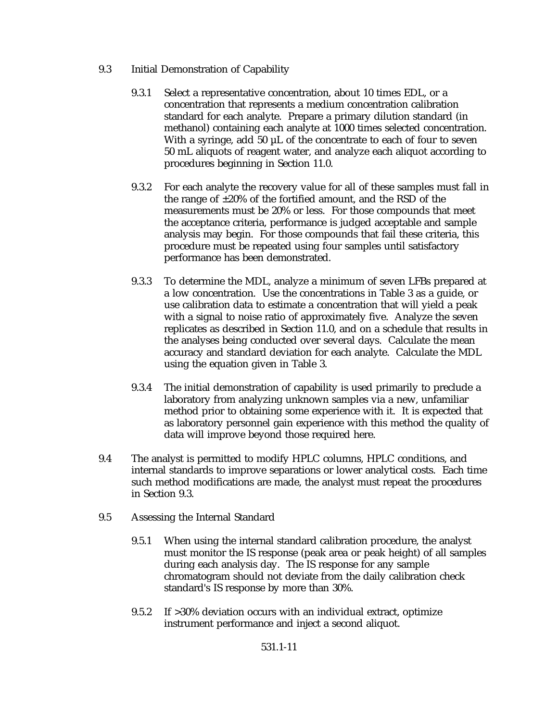- 9.3 Initial Demonstration of Capability
	- 9.3.1 Select a representative concentration, about 10 times EDL, or a concentration that represents a medium concentration calibration standard for each analyte. Prepare a primary dilution standard (in methanol) containing each analyte at 1000 times selected concentration. With a syringe, add 50 µL of the concentrate to each of four to seven 50 mL aliquots of reagent water, and analyze each aliquot according to procedures beginning in Section 11.0.
	- 9.3.2 For each analyte the recovery value for all of these samples must fall in the range of ±20% of the fortified amount, and the RSD of the measurements must be 20% or less. For those compounds that meet the acceptance criteria, performance is judged acceptable and sample analysis may begin. For those compounds that fail these criteria, this procedure must be repeated using four samples until satisfactory performance has been demonstrated.
	- 9.3.3 To determine the MDL, analyze a minimum of seven LFBs prepared at a low concentration. Use the concentrations in Table 3 as a guide, or use calibration data to estimate a concentration that will yield a peak with a signal to noise ratio of approximately five. Analyze the seven replicates as described in Section 11.0, and on a schedule that results in the analyses being conducted over several days. Calculate the mean accuracy and standard deviation for each analyte. Calculate the MDL using the equation given in Table 3.
	- 9.3.4 The initial demonstration of capability is used primarily to preclude a laboratory from analyzing unknown samples via a new, unfamiliar method prior to obtaining some experience with it. It is expected that as laboratory personnel gain experience with this method the quality of data will improve beyond those required here.
- 9.4 The analyst is permitted to modify HPLC columns, HPLC conditions, and internal standards to improve separations or lower analytical costs. Each time such method modifications are made, the analyst must repeat the procedures in Section 9.3.
- 9.5 Assessing the Internal Standard
	- 9.5.1 When using the internal standard calibration procedure, the analyst must monitor the IS response (peak area or peak height) of all samples during each analysis day. The IS response for any sample chromatogram should not deviate from the daily calibration check standard's IS response by more than 30%.
	- 9.5.2 If >30% deviation occurs with an individual extract, optimize instrument performance and inject a second aliquot.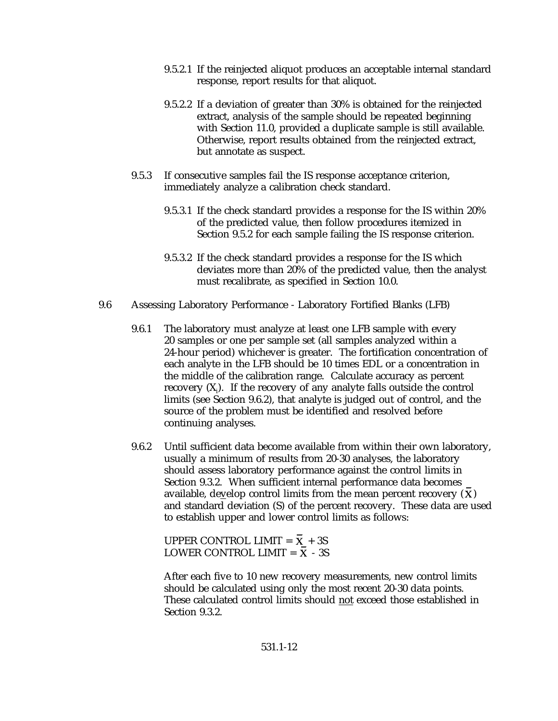- 9.5.2.1 If the reinjected aliquot produces an acceptable internal standard response, report results for that aliquot.
- 9.5.2.2 If a deviation of greater than 30% is obtained for the reinjected extract, analysis of the sample should be repeated beginning with Section 11.0, provided a duplicate sample is still available. Otherwise, report results obtained from the reinjected extract, but annotate as suspect.
- 9.5.3 If consecutive samples fail the IS response acceptance criterion, immediately analyze a calibration check standard.
	- 9.5.3.1 If the check standard provides a response for the IS within 20% of the predicted value, then follow procedures itemized in Section 9.5.2 for each sample failing the IS response criterion.
	- 9.5.3.2 If the check standard provides a response for the IS which deviates more than 20% of the predicted value, then the analyst must recalibrate, as specified in Section 10.0.
- 9.6 Assessing Laboratory Performance Laboratory Fortified Blanks (LFB)
	- 9.6.1 The laboratory must analyze at least one LFB sample with every 20 samples or one per sample set (all samples analyzed within a 24-hour period) whichever is greater. The fortification concentration of each analyte in the LFB should be 10 times EDL or a concentration in the middle of the calibration range. Calculate accuracy as percent recovery  $(X_i)$ . If the recovery of any analyte falls outside the control limits (see Section 9.6.2), that analyte is judged out of control, and the source of the problem must be identified and resolved before continuing analyses.
	- 9.6.2 Until sufficient data become available from within their own laboratory, usually a minimum of results from 20-30 analyses, the laboratory should assess laboratory performance against the control limits in Section 9.3.2. When sufficient internal performance data becomes available, develop control limits from the mean percent recovery  $(X)$ and standard deviation (S) of the percent recovery. These data are used to establish upper and lower control limits as follows:

UPPER CONTROL LIMIT =  $\overline{X}$  + 3S LOWER CONTROL LIMIT =  $\overline{X}$  - 3S

After each five to 10 new recovery measurements, new control limits should be calculated using only the most recent 20-30 data points. These calculated control limits should not exceed those established in Section 9.3.2.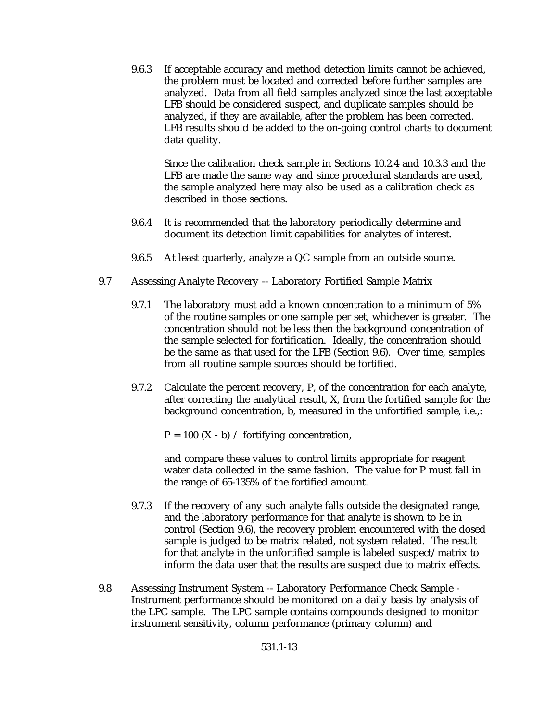9.6.3 If acceptable accuracy and method detection limits cannot be achieved, the problem must be located and corrected before further samples are analyzed. Data from all field samples analyzed since the last acceptable LFB should be considered suspect, and duplicate samples should be analyzed, if they are available, after the problem has been corrected. LFB results should be added to the on-going control charts to document data quality.

Since the calibration check sample in Sections 10.2.4 and 10.3.3 and the LFB are made the same way and since procedural standards are used, the sample analyzed here may also be used as a calibration check as described in those sections.

- 9.6.4 It is recommended that the laboratory periodically determine and document its detection limit capabilities for analytes of interest.
- 9.6.5 At least quarterly, analyze a QC sample from an outside source.
- 9.7 Assessing Analyte Recovery -- Laboratory Fortified Sample Matrix
	- 9.7.1 The laboratory must add a known concentration to a minimum of 5% of the routine samples or one sample per set, whichever is greater. The concentration should not be less then the background concentration of the sample selected for fortification. Ideally, the concentration should be the same as that used for the LFB (Section 9.6). Over time, samples from all routine sample sources should be fortified.
	- 9.7.2 Calculate the percent recovery, P, of the concentration for each analyte, after correcting the analytical result, X, from the fortified sample for the background concentration, b, measured in the unfortified sample, i.e.,:

 $P = 100$  (X - b) / fortifying concentration,

and compare these values to control limits appropriate for reagent water data collected in the same fashion. The value for P must fall in the range of 65-135% of the fortified amount.

- 9.7.3 If the recovery of any such analyte falls outside the designated range, and the laboratory performance for that analyte is shown to be in control (Section 9.6), the recovery problem encountered with the dosed sample is judged to be matrix related, not system related. The result for that analyte in the unfortified sample is labeled suspect/matrix to inform the data user that the results are suspect due to matrix effects.
- 9.8 Assessing Instrument System -- Laboratory Performance Check Sample Instrument performance should be monitored on a daily basis by analysis of the LPC sample. The LPC sample contains compounds designed to monitor instrument sensitivity, column performance (primary column) and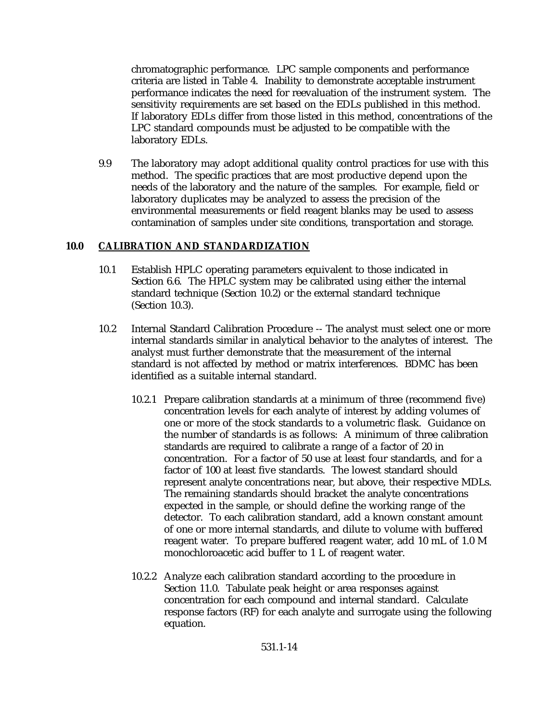chromatographic performance. LPC sample components and performance criteria are listed in Table 4. Inability to demonstrate acceptable instrument performance indicates the need for reevaluation of the instrument system. The sensitivity requirements are set based on the EDLs published in this method. If laboratory EDLs differ from those listed in this method, concentrations of the LPC standard compounds must be adjusted to be compatible with the laboratory EDLs.

9.9 The laboratory may adopt additional quality control practices for use with this method. The specific practices that are most productive depend upon the needs of the laboratory and the nature of the samples. For example, field or laboratory duplicates may be analyzed to assess the precision of the environmental measurements or field reagent blanks may be used to assess contamination of samples under site conditions, transportation and storage.

### **10.0 CALIBRATION AND STANDARDIZATION**

- 10.1 Establish HPLC operating parameters equivalent to those indicated in Section 6.6. The HPLC system may be calibrated using either the internal standard technique (Section 10.2) or the external standard technique (Section 10.3).
- 10.2 Internal Standard Calibration Procedure -- The analyst must select one or more internal standards similar in analytical behavior to the analytes of interest. The analyst must further demonstrate that the measurement of the internal standard is not affected by method or matrix interferences. BDMC has been identified as a suitable internal standard.
	- 10.2.1 Prepare calibration standards at a minimum of three (recommend five) concentration levels for each analyte of interest by adding volumes of one or more of the stock standards to a volumetric flask. Guidance on the number of standards is as follows: A minimum of three calibration standards are required to calibrate a range of a factor of 20 in concentration. For a factor of 50 use at least four standards, and for a factor of 100 at least five standards. The lowest standard should represent analyte concentrations near, but above, their respective MDLs. The remaining standards should bracket the analyte concentrations expected in the sample, or should define the working range of the detector. To each calibration standard, add a known constant amount of one or more internal standards, and dilute to volume with buffered reagent water. To prepare buffered reagent water, add 10 mL of 1.0 M monochloroacetic acid buffer to 1 L of reagent water.
	- 10.2.2 Analyze each calibration standard according to the procedure in Section 11.0. Tabulate peak height or area responses against concentration for each compound and internal standard. Calculate response factors (RF) for each analyte and surrogate using the following equation.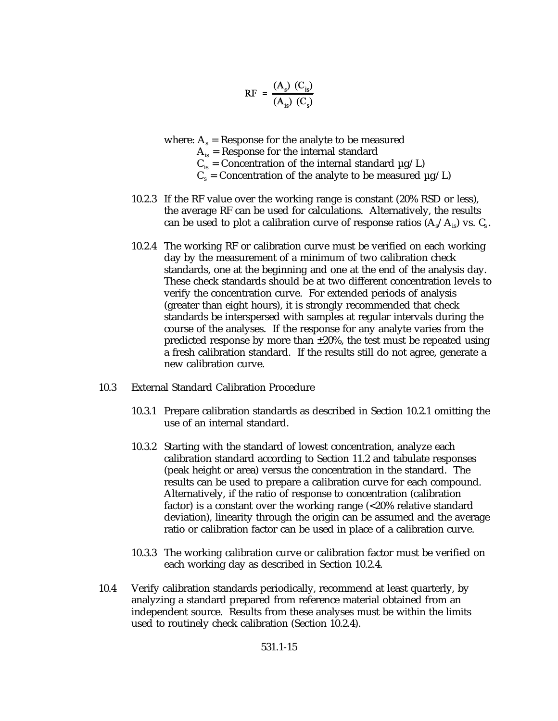$$
RF = \frac{(A_s) (C_{is})}{(A_{is}) (C_s)}
$$

where:  $A_s$  = Response for the analyte to be measured  $A_{is}$  = Response for the internal standard  $C_{is}$  = Concentration of the internal standard  $\mu$ g/L)

- $C_s$  = Concentration of the analyte to be measured  $\mu$ g/L)
- 10.2.3 If the RF value over the working range is constant (20% RSD or less), the average RF can be used for calculations. Alternatively, the results can be used to plot a calibration curve of response ratios  $(A_s/A_s)$  vs.  $C_s$ .
- 10.2.4 The working RF or calibration curve must be verified on each working day by the measurement of a minimum of two calibration check standards, one at the beginning and one at the end of the analysis day. These check standards should be at two different concentration levels to verify the concentration curve. For extended periods of analysis (greater than eight hours), it is strongly recommended that check standards be interspersed with samples at regular intervals during the course of the analyses. If the response for any analyte varies from the predicted response by more than  $\pm 20\%$ , the test must be repeated using a fresh calibration standard. If the results still do not agree, generate a new calibration curve.
- 10.3 External Standard Calibration Procedure
	- 10.3.1 Prepare calibration standards as described in Section 10.2.1 omitting the use of an internal standard.
	- 10.3.2 Starting with the standard of lowest concentration, analyze each calibration standard according to Section 11.2 and tabulate responses (peak height or area) versus the concentration in the standard. The results can be used to prepare a calibration curve for each compound. Alternatively, if the ratio of response to concentration (calibration factor) is a constant over the working range (<20% relative standard deviation), linearity through the origin can be assumed and the average ratio or calibration factor can be used in place of a calibration curve.
	- 10.3.3 The working calibration curve or calibration factor must be verified on each working day as described in Section 10.2.4.
- 10.4 Verify calibration standards periodically, recommend at least quarterly, by analyzing a standard prepared from reference material obtained from an independent source. Results from these analyses must be within the limits used to routinely check calibration (Section 10.2.4).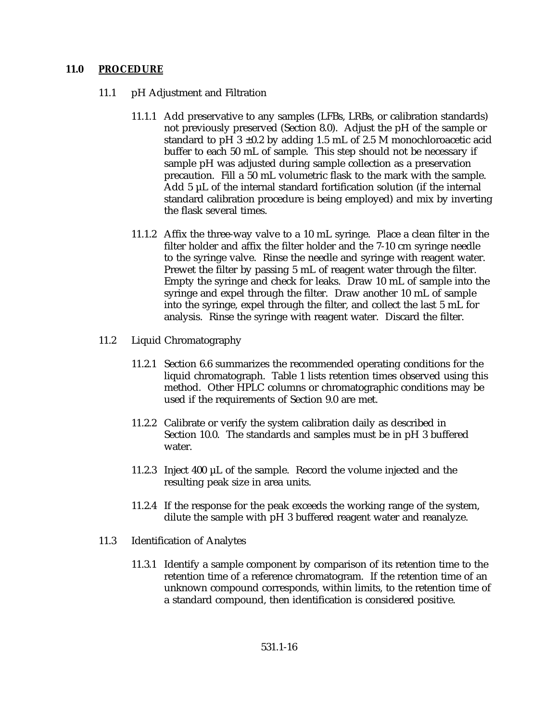### **11.0 PROCEDURE**

- 11.1 pH Adjustment and Filtration
	- 11.1.1 Add preservative to any samples (LFBs, LRBs, or calibration standards) not previously preserved (Section 8.0). Adjust the pH of the sample or standard to pH  $3 \pm 0.2$  by adding 1.5 mL of 2.5 M monochloroacetic acid buffer to each 50 mL of sample. This step should not be necessary if sample pH was adjusted during sample collection as a preservation precaution. Fill a 50 mL volumetric flask to the mark with the sample. Add 5 µL of the internal standard fortification solution (if the internal standard calibration procedure is being employed) and mix by inverting the flask several times.
	- 11.1.2 Affix the three-way valve to a 10 mL syringe. Place a clean filter in the filter holder and affix the filter holder and the 7-10 cm syringe needle to the syringe valve. Rinse the needle and syringe with reagent water. Prewet the filter by passing 5 mL of reagent water through the filter. Empty the syringe and check for leaks. Draw 10 mL of sample into the syringe and expel through the filter. Draw another 10 mL of sample into the syringe, expel through the filter, and collect the last 5 mL for analysis. Rinse the syringe with reagent water. Discard the filter.
- 11.2 Liquid Chromatography
	- 11.2.1 Section 6.6 summarizes the recommended operating conditions for the liquid chromatograph. Table 1 lists retention times observed using this method. Other HPLC columns or chromatographic conditions may be used if the requirements of Section 9.0 are met.
	- 11.2.2 Calibrate or verify the system calibration daily as described in Section 10.0. The standards and samples must be in pH 3 buffered water.
	- 11.2.3 Inject 400 µL of the sample. Record the volume injected and the resulting peak size in area units.
	- 11.2.4 If the response for the peak exceeds the working range of the system, dilute the sample with pH 3 buffered reagent water and reanalyze.
- 11.3 Identification of Analytes
	- 11.3.1 Identify a sample component by comparison of its retention time to the retention time of a reference chromatogram. If the retention time of an unknown compound corresponds, within limits, to the retention time of a standard compound, then identification is considered positive.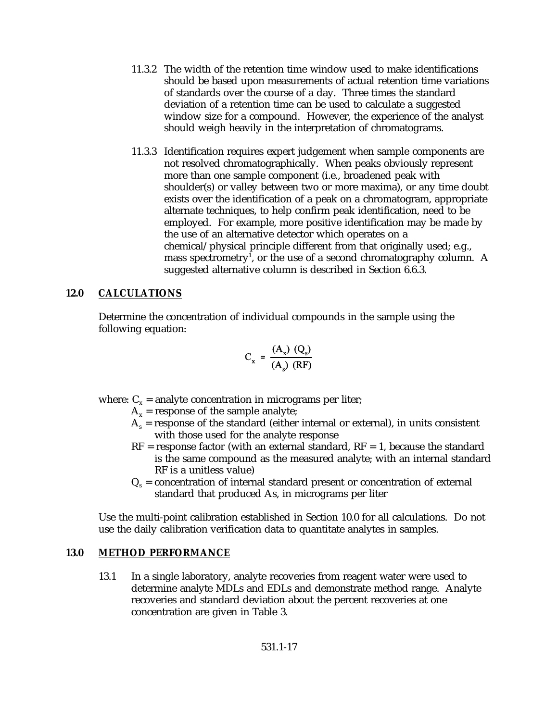- 11.3.2 The width of the retention time window used to make identifications should be based upon measurements of actual retention time variations of standards over the course of a day. Three times the standard deviation of a retention time can be used to calculate a suggested window size for a compound. However, the experience of the analyst should weigh heavily in the interpretation of chromatograms.
- 11.3.3 Identification requires expert judgement when sample components are not resolved chromatographically. When peaks obviously represent more than one sample component (i.e., broadened peak with shoulder(s) or valley between two or more maxima), or any time doubt exists over the identification of a peak on a chromatogram, appropriate alternate techniques, to help confirm peak identification, need to be employed. For example, more positive identification may be made by the use of an alternative detector which operates on a chemical/physical principle different from that originally used; e.g., mass spectrometry<sup>1</sup>, or the use of a second chromatography column. A suggested alternative column is described in Section 6.6.3.

### **12.0 CALCULATIONS**

Determine the concentration of individual compounds in the sample using the following equation:

$$
C_x = \frac{(A_x) (Q_s)}{(A_s) (RF)}
$$

where:  $C_x$  = analyte concentration in micrograms per liter;

- $A_x$  = response of the sample analyte;
- $A<sub>s</sub>$  = response of the standard (either internal or external), in units consistent with those used for the analyte response
- $RF$  = response factor (with an external standard,  $RF = 1$ , because the standard is the same compound as the measured analyte; with an internal standard RF is a unitless value)
- $Q<sub>c</sub>$  = concentration of internal standard present or concentration of external standard that produced As, in micrograms per liter

Use the multi-point calibration established in Section 10.0 for all calculations. Do not use the daily calibration verification data to quantitate analytes in samples.

### **13.0 METHOD PERFORMANCE**

13.1 In a single laboratory, analyte recoveries from reagent water were used to determine analyte MDLs and EDLs and demonstrate method range. Analyte recoveries and standard deviation about the percent recoveries at one concentration are given in Table 3.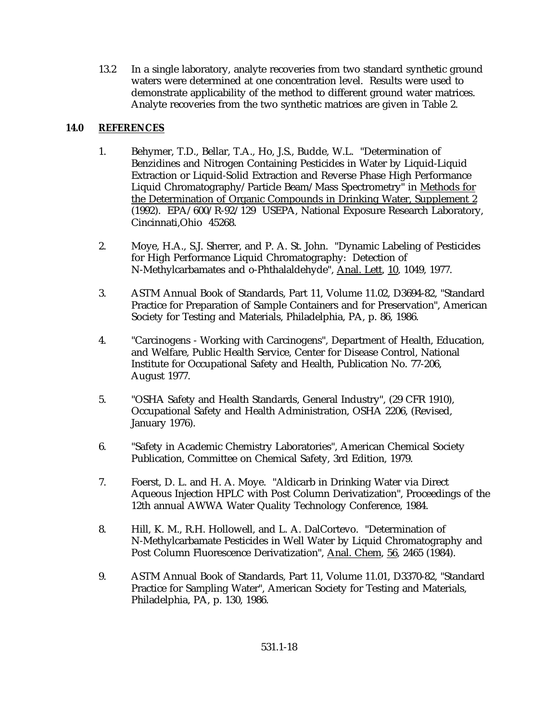13.2 In a single laboratory, analyte recoveries from two standard synthetic ground waters were determined at one concentration level. Results were used to demonstrate applicability of the method to different ground water matrices. Analyte recoveries from the two synthetic matrices are given in Table 2.

# **14.0 REFERENCES**

- 1. Behymer, T.D., Bellar, T.A., Ho, J.S., Budde, W.L. "Determination of Benzidines and Nitrogen Containing Pesticides in Water by Liquid-Liquid Extraction or Liquid-Solid Extraction and Reverse Phase High Performance Liquid Chromatography/Particle Beam/Mass Spectrometry" in Methods for the Determination of Organic Compounds in Drinking Water, Supplement 2 (1992). EPA/600/R-92/129 USEPA, National Exposure Research Laboratory, Cincinnati,Ohio 45268.
- 2. Moye, H.A., S.J. Sherrer, and P. A. St. John. "Dynamic Labeling of Pesticides for High Performance Liquid Chromatography: Detection of N-Methylcarbamates and o-Phthalaldehyde", Anal. Lett, 10, 1049, 1977.
- 3. ASTM Annual Book of Standards, Part 11, Volume 11.02, D3694-82, "Standard Practice for Preparation of Sample Containers and for Preservation", American Society for Testing and Materials, Philadelphia, PA, p. 86, 1986.
- 4. "Carcinogens Working with Carcinogens", Department of Health, Education, and Welfare, Public Health Service, Center for Disease Control, National Institute for Occupational Safety and Health, Publication No. 77-206, August 1977.
- 5. "OSHA Safety and Health Standards, General Industry", (29 CFR 1910), Occupational Safety and Health Administration, OSHA 2206, (Revised, January 1976).
- 6. "Safety in Academic Chemistry Laboratories", American Chemical Society Publication, Committee on Chemical Safety, 3rd Edition, 1979.
- 7. Foerst, D. L. and H. A. Moye. "Aldicarb in Drinking Water via Direct Aqueous Injection HPLC with Post Column Derivatization", Proceedings of the 12th annual AWWA Water Quality Technology Conference, 1984.
- 8. Hill, K. M., R.H. Hollowell, and L. A. DalCortevo. "Determination of N-Methylcarbamate Pesticides in Well Water by Liquid Chromatography and Post Column Fluorescence Derivatization", Anal. Chem, 56, 2465 (1984).
- 9. ASTM Annual Book of Standards, Part 11, Volume 11.01, D3370-82, "Standard Practice for Sampling Water", American Society for Testing and Materials, Philadelphia, PA, p. 130, 1986.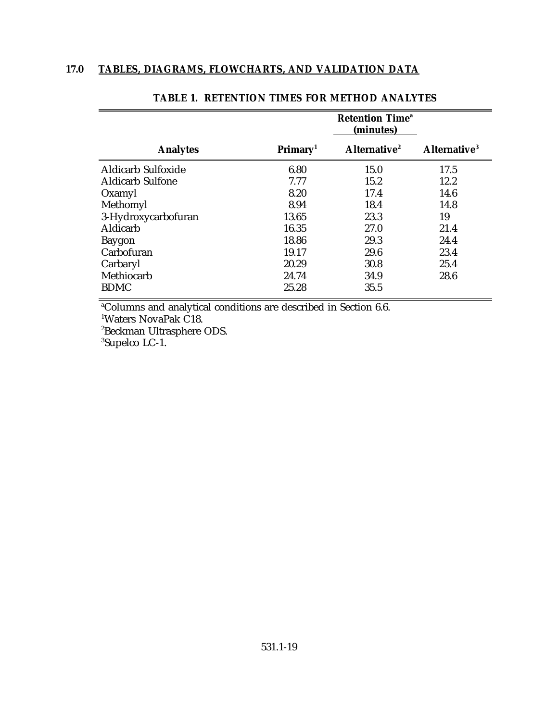|                           | <b>Retention Time<sup>a</sup></b><br>(minutes) |                          |                          |  |
|---------------------------|------------------------------------------------|--------------------------|--------------------------|--|
| <b>Analytes</b>           | Primary <sup>1</sup>                           | Alternative <sup>2</sup> | Alternative <sup>3</sup> |  |
| <b>Aldicarb Sulfoxide</b> | 6.80                                           | 15.0                     | 17.5                     |  |
| <b>Aldicarb Sulfone</b>   | 7.77                                           | 15.2                     | 12.2                     |  |
| Oxamyl                    | 8.20                                           | 17.4                     | 14.6                     |  |
| Methomyl                  | 8.94                                           | 18.4                     | 14.8                     |  |
| 3-Hydroxycarbofuran       | 13.65                                          | 23.3                     | 19                       |  |
| Aldicarb                  | 16.35                                          | 27.0                     | 21.4                     |  |
| Baygon                    | 18.86                                          | 29.3                     | 24.4                     |  |
| Carbofuran                | 19.17                                          | 29.6                     | 23.4                     |  |
| Carbaryl                  | 20.29                                          | 30.8                     | 25.4                     |  |
| Methiocarb                | 24.74                                          | 34.9                     | 28.6                     |  |
| <b>BDMC</b>               | 25.28                                          | 35.5                     |                          |  |

# **TABLE 1. RETENTION TIMES FOR METHOD ANALYTES**

<sup>a</sup>Columns and analytical conditions are described in Section 6.6.

<sup>1</sup>Waters NovaPak C18.

<sup>2</sup>Beckman Ultrasphere ODS.

<sup>3</sup>Supelco LC-1.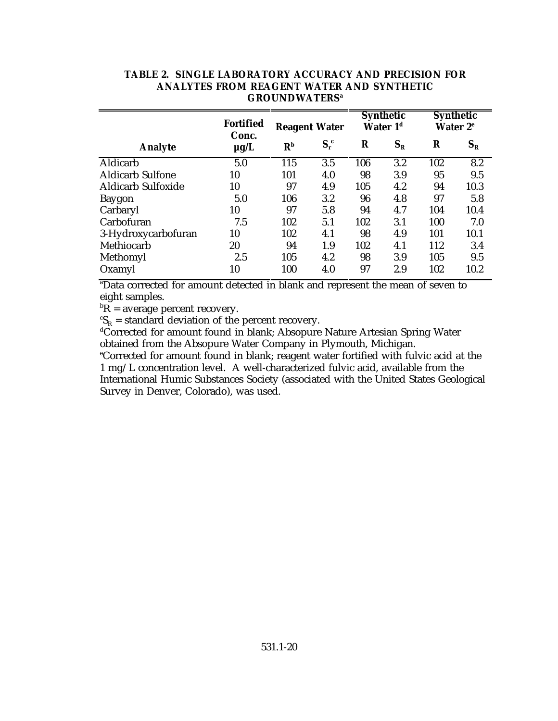|                           | <b>Fortified</b><br>Conc. | <b>Reagent Water</b> |         | <b>Synthetic</b><br>Water 1 <sup>d</sup> |         | <b>Synthetic</b><br>Water 2 <sup>e</sup> |         |
|---------------------------|---------------------------|----------------------|---------|------------------------------------------|---------|------------------------------------------|---------|
| <b>Analyte</b>            | $\mu$ g/L                 | R <sub>p</sub>       | $S_r^c$ | $\bf R$                                  | $S_{R}$ | R                                        | $S_{R}$ |
| Aldicarb                  | 5.0                       | 115                  | 3.5     | 106                                      | 3.2     | 102                                      | 8.2     |
| <b>Aldicarb Sulfone</b>   | 10                        | 101                  | 4.0     | 98                                       | 3.9     | 95                                       | 9.5     |
| <b>Aldicarb Sulfoxide</b> | 10                        | 97                   | 4.9     | 105                                      | 4.2     | 94                                       | 10.3    |
| <b>Baygon</b>             | 5.0                       | 106                  | 3.2     | 96                                       | 4.8     | 97                                       | 5.8     |
| Carbaryl                  | 10                        | 97                   | 5.8     | 94                                       | 4.7     | 104                                      | 10.4    |
| Carbofuran                | 7.5                       | 102                  | 5.1     | 102                                      | 3.1     | 100                                      | 7.0     |
| 3-Hydroxycarbofuran       | 10                        | 102                  | 4.1     | 98                                       | 4.9     | 101                                      | 10.1    |
| Methiocarb                | 20                        | 94                   | 1.9     | 102                                      | 4.1     | 112                                      | 3.4     |
| Methomyl                  | 2.5                       | 105                  | 4.2     | 98                                       | 3.9     | 105                                      | 9.5     |
| Oxamyl                    | 10                        | 100                  | 4.0     | 97                                       | 2.9     | 102                                      | 10.2    |

### **TABLE 2. SINGLE LABORATORY ACCURACY AND PRECISION FOR ANALYTES FROM REAGENT WATER AND SYNTHETIC GROUNDWATERS<sup>a</sup>**

<sup>a</sup>Data corrected for amount detected in blank and represent the mean of seven to eight samples.

 ${}^{\text{b}}\overline{\text{R}}$  = average percent recovery.

 ${}^cS_R$  = standard deviation of the percent recovery.

S<sub>R</sub> – standard deviation of the percent recovery.<br>dCorrected for amount found in blank; Absopure Nature Artesian Spring Water obtained from the Absopure Water Company in Plymouth, Michigan.

<sup>e</sup>Corrected for amount found in blank; reagent water fortified with fulvic acid at the 1 mg/L concentration level. A well-characterized fulvic acid, available from the International Humic Substances Society (associated with the United States Geological Survey in Denver, Colorado), was used.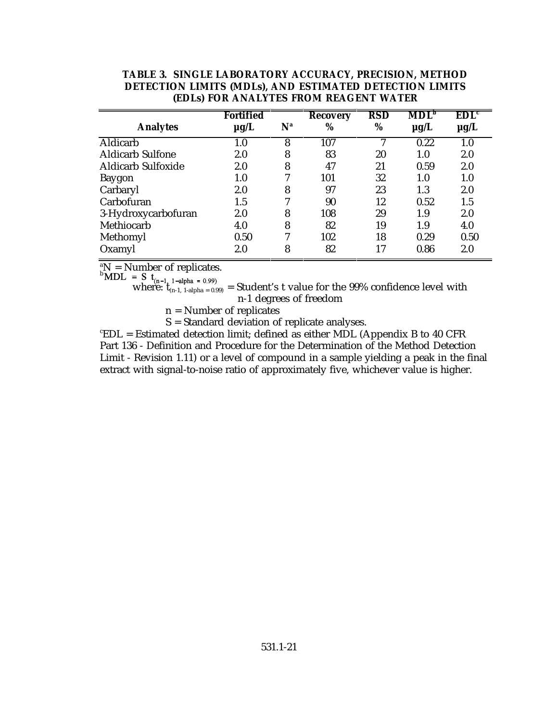| TABLE 3. SINGLE LABORATORY ACCURACY, PRECISION, METHOD  |
|---------------------------------------------------------|
| DETECTION LIMITS (MDLs), AND ESTIMATED DETECTION LIMITS |
| <b>(EDLs) FOR ANALYTES FROM REAGENT WATER</b>           |

|                           | <b>Fortified</b> |       | <b>Recovery</b> | RSD | $\mathbf{MDL}^\mathbf{b}$ | $\mathbf{EDL}^{\mathsf{c}}$ |
|---------------------------|------------------|-------|-----------------|-----|---------------------------|-----------------------------|
| <b>Analytes</b>           | $\mu$ g/L        | $N^a$ | %               | %   | $\mu$ g/L                 | $\mu$ g/L                   |
| <b>Aldicarb</b>           | 1.0              | 8     | 107             |     | 0.22                      | 1.0                         |
| <b>Aldicarb Sulfone</b>   | 2.0              | 8     | 83              | 20  | 1.0                       | 2.0                         |
| <b>Aldicarb Sulfoxide</b> | 2.0              | 8     | 47              | 21  | 0.59                      | 2.0                         |
| <b>Baygon</b>             | 1.0              | 7     | 101             | 32  | 1.0                       | $1.0\,$                     |
| Carbaryl                  | 2.0              | 8     | 97              | 23  | 1.3                       | 2.0                         |
| Carbofuran                | 1.5              | 7     | 90              | 12  | 0.52                      | 1.5                         |
| 3-Hydroxycarbofuran       | 2.0              | 8     | 108             | 29  | 1.9                       | 2.0                         |
| Methiocarb                | 4.0              | 8     | 82              | 19  | 1.9                       | 4.0                         |
| Methomyl                  | 0.50             | 7     | 102             | 18  | 0.29                      | 0.50                        |
| Oxamyl                    | 2.0              | 8     | 82              | 17  | 0.86                      | 2.0                         |

 ${}^{\text{a}}\text{N}$  = Number of replicates.

where:  $t_{(n-1, 1-\text{alpha})} = 0.99$  = Student's t value for the 99% confidence level with n-1 degrees of freedom

n = Number of replicates

S = Standard deviation of replicate analyses.

 $ECL =$  Estimated detection limit; defined as either MDL (Appendix B to 40 CFR Part 136 - Definition and Procedure for the Determination of the Method Detection Limit - Revision 1.11) or a level of compound in a sample yielding a peak in the final extract with signal-to-noise ratio of approximately five, whichever value is higher.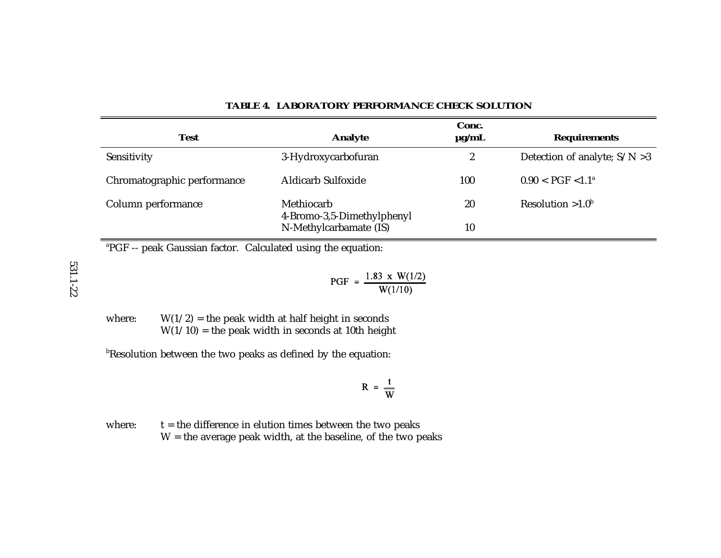| <b>Test</b>                 | Analyte                                  | Conc.<br>$\mu$ g/mL | <b>Requirements</b>             |
|-----------------------------|------------------------------------------|---------------------|---------------------------------|
| Sensitivity                 | 3-Hydroxycarbofuran                      | $\boldsymbol{2}$    | Detection of analyte; $S/N > 3$ |
| Chromatographic performance | <b>Aldicarb Sulfoxide</b>                | 100                 | $0.90 < PGF < 1.1^a$            |
| Column performance          | Methiocarb<br>4-Bromo-3,5-Dimethylphenyl | 20                  | Resolution $>1.0^b$             |
|                             | N-Methylcarbamate (IS)                   | 10                  |                                 |

#### **TABLE 4. LABORATORY PERFORMANCE CHECK SOLUTION**

<sup>a</sup>PGF -- peak Gaussian factor. Calculated using the equation:

PGF =  $\frac{1.83 \times W(1/2)}{W(1/10)}$ 

where:  $W(1/2)$  = the peak width at half height in seconds  $W(1/10)$  = the peak width in seconds at 10th height

 $b$ Resolution between the two peaks as defined by the equation:

$$
R = \frac{t}{W}
$$

where:  $t =$  the difference in elution times between the two peaks  $W =$  the average peak width, at the baseline, of the two peaks